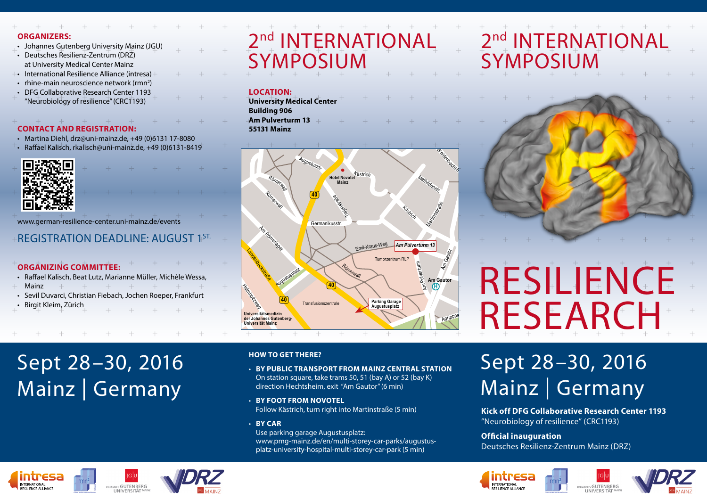#### **ORGANIZERS:**

- Johannes Gutenberg University Mainz (JGU)
- Deutsches Resilienz-Zentrum (DRZ) at University Medical Center Mainz
- International Resilience Alliance (intresa)
- $r$  rhine-main neuroscience network (rmn<sup>2</sup>)
- DFG Collaborative Research Center 1193 "Neurobiology of resilience" (CRC1193)

## **CONTACT AND REGISTRATION:**

- Martina Diehl, drz@uni-mainz.de, +49 (0)6131 17-8080
- Raffael Kalisch, rkalisch@uni-mainz.de, +49 (0)6131-8419



www.german-resilience-center.uni-mainz.de/events

## **REGISTRATION DEADLINE: AUGUST 1ST.**

#### **ORGANIZING COMMITTEE:**

- Raffael Kalisch, Beat Lutz, Marianne Müller, Michèle Wessa,
- Mainz
- Sevil Duvarci, Christian Fiebach, Jochen Roeper, Frankfurt
- Birgit Kleim, Zürich

# Sept 28–30, 2016 Mainz | Germany

# 2<sup>nd</sup> INTERNATIONAL SYMPOSIUM

#### **LOCATION:**

**University Medical Center Building 906 Am Pulverturm 13 55131 Mainz**



#### **HOW TO GET THERE?**

- **BY PUBLIC TRANSPORT FROM MAINZ CENTRAL STATION** On station square, take trams 50, 51 (bay A) or 52 (bay K) direction Hechtsheim, exit "Am Gautor" (6 min)
- **BY FOOT FROM NOVOTEL** Follow Kästrich, turn right into Martinstraße (5 min)
- **BY CAR** Use parking garage Augustusplatz:

www.pmg-mainz.de/en/multi-storey-car-parks/augustusplatz-university-hospital-multi-storey-car-park (5 min)

# 2<sup>nd</sup> INTERNATIONAL **SYMPOSIUM**



# RESILIENCE **RESEARCH**

# Sept 28–30, 2016 Mainz | Germany

**Kick off DFG Collaborative Research Center 1193**  "Neurobiology of resilience" (CRC1193)

#### **Official inauguration**

Deutsches Resilienz-Zentrum Mainz (DRZ)